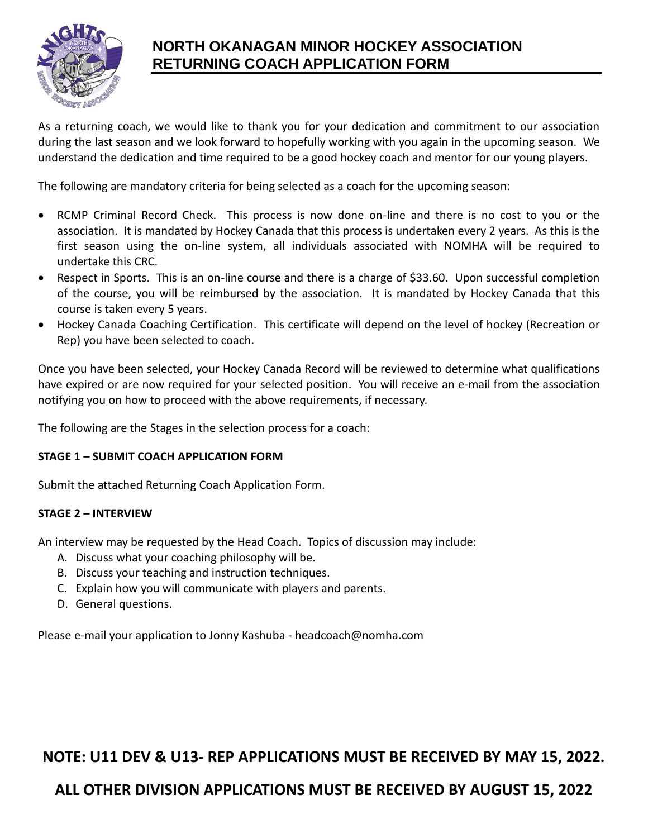

## **NORTH OKANAGAN MINOR HOCKEY ASSOCIATION RETURNING COACH APPLICATION FORM**

As a returning coach, we would like to thank you for your dedication and commitment to our association during the last season and we look forward to hopefully working with you again in the upcoming season. We understand the dedication and time required to be a good hockey coach and mentor for our young players.

The following are mandatory criteria for being selected as a coach for the upcoming season:

- RCMP Criminal Record Check. This process is now done on-line and there is no cost to you or the association. It is mandated by Hockey Canada that this process is undertaken every 2 years. As this is the first season using the on-line system, all individuals associated with NOMHA will be required to undertake this CRC.
- Respect in Sports. This is an on-line course and there is a charge of \$33.60. Upon successful completion of the course, you will be reimbursed by the association. It is mandated by Hockey Canada that this course is taken every 5 years.
- Hockey Canada Coaching Certification. This certificate will depend on the level of hockey (Recreation or Rep) you have been selected to coach.

Once you have been selected, your Hockey Canada Record will be reviewed to determine what qualifications have expired or are now required for your selected position. You will receive an e-mail from the association notifying you on how to proceed with the above requirements, if necessary.

The following are the Stages in the selection process for a coach:

### **STAGE 1 – SUBMIT COACH APPLICATION FORM**

Submit the attached Returning Coach Application Form.

### **STAGE 2 – INTERVIEW**

An interview may be requested by the Head Coach. Topics of discussion may include:

- A. Discuss what your coaching philosophy will be.
- B. Discuss your teaching and instruction techniques.
- C. Explain how you will communicate with players and parents.
- D. General questions.

Please e-mail your application to Jonny Kashuba - headcoach@nomha.com

## **NOTE: U11 DEV & U13- REP APPLICATIONS MUST BE RECEIVED BY MAY 15, 2022.**

## **ALL OTHER DIVISION APPLICATIONS MUST BE RECEIVED BY AUGUST 15, 2022**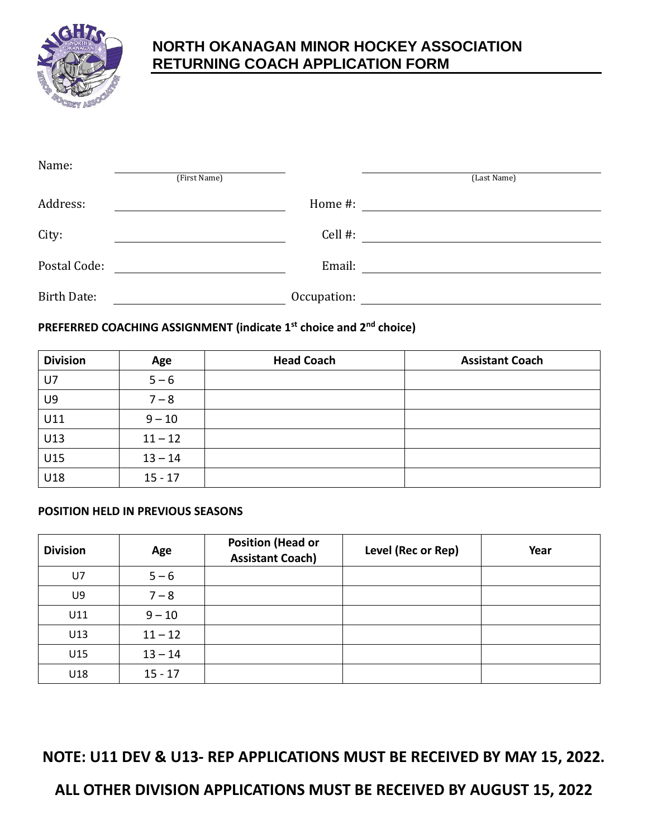

## **NORTH OKANAGAN MINOR HOCKEY ASSOCIATION RETURNING COACH APPLICATION FORM**

| Name:              | (First Name) |             | (Last Name) |
|--------------------|--------------|-------------|-------------|
| Address:           |              | Home #:     |             |
| City:              |              | Cell $#$ :  |             |
| Postal Code:       |              | Email:      |             |
| <b>Birth Date:</b> |              | Occupation: |             |

### **PREFERRED COACHING ASSIGNMENT (indicate 1st choice and 2nd choice)**

| <b>Division</b> | Age       | <b>Head Coach</b> | <b>Assistant Coach</b> |
|-----------------|-----------|-------------------|------------------------|
| U7              | $5 - 6$   |                   |                        |
| U9              | $7 - 8$   |                   |                        |
| U11             | $9 - 10$  |                   |                        |
| U13             | $11 - 12$ |                   |                        |
| U15             | $13 - 14$ |                   |                        |
| U18             | $15 - 17$ |                   |                        |

### **POSITION HELD IN PREVIOUS SEASONS**

| <b>Division</b> | Age       | <b>Position (Head or</b><br><b>Assistant Coach)</b> | Level (Rec or Rep) | Year |
|-----------------|-----------|-----------------------------------------------------|--------------------|------|
| <b>U7</b>       | $5 - 6$   |                                                     |                    |      |
| U9              | $7 - 8$   |                                                     |                    |      |
| U11             | $9 - 10$  |                                                     |                    |      |
| U13             | $11 - 12$ |                                                     |                    |      |
| U15             | $13 - 14$ |                                                     |                    |      |
| U18             | $15 - 17$ |                                                     |                    |      |

**NOTE: U11 DEV & U13- REP APPLICATIONS MUST BE RECEIVED BY MAY 15, 2022.**

**ALL OTHER DIVISION APPLICATIONS MUST BE RECEIVED BY AUGUST 15, 2022**